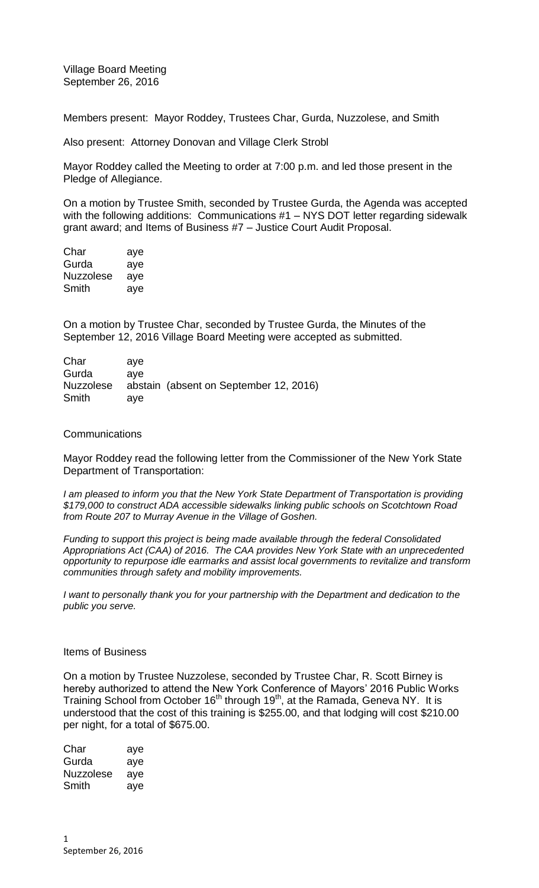Village Board Meeting September 26, 2016

Members present: Mayor Roddey, Trustees Char, Gurda, Nuzzolese, and Smith

Also present: Attorney Donovan and Village Clerk Strobl

Mayor Roddey called the Meeting to order at 7:00 p.m. and led those present in the Pledge of Allegiance.

On a motion by Trustee Smith, seconded by Trustee Gurda, the Agenda was accepted with the following additions: Communications #1 – NYS DOT letter regarding sidewalk grant award; and Items of Business #7 – Justice Court Audit Proposal.

| Char      | aye |
|-----------|-----|
| Gurda     | aye |
| Nuzzolese | aye |
| Smith     | aye |

On a motion by Trustee Char, seconded by Trustee Gurda, the Minutes of the September 12, 2016 Village Board Meeting were accepted as submitted.

| Char      | ave |                                        |
|-----------|-----|----------------------------------------|
| Gurda     | ave |                                        |
| Nuzzolese |     | abstain (absent on September 12, 2016) |
| Smith     | ave |                                        |

### **Communications**

Mayor Roddey read the following letter from the Commissioner of the New York State Department of Transportation:

*I am pleased to inform you that the New York State Department of Transportation is providing \$179,000 to construct ADA accessible sidewalks linking public schools on Scotchtown Road from Route 207 to Murray Avenue in the Village of Goshen.*

*Funding to support this project is being made available through the federal Consolidated Appropriations Act (CAA) of 2016. The CAA provides New York State with an unprecedented opportunity to repurpose idle earmarks and assist local governments to revitalize and transform communities through safety and mobility improvements.*

*I want to personally thank you for your partnership with the Department and dedication to the public you serve.* 

#### Items of Business

On a motion by Trustee Nuzzolese, seconded by Trustee Char, R. Scott Birney is hereby authorized to attend the New York Conference of Mayors' 2016 Public Works Training School from October 16<sup>th</sup> through 19<sup>th</sup>, at the Ramada, Geneva NY. It is understood that the cost of this training is \$255.00, and that lodging will cost \$210.00 per night, for a total of \$675.00.

| Char             | aye |
|------------------|-----|
| Gurda            | aye |
| <b>Nuzzolese</b> | aye |
| Smith            | aye |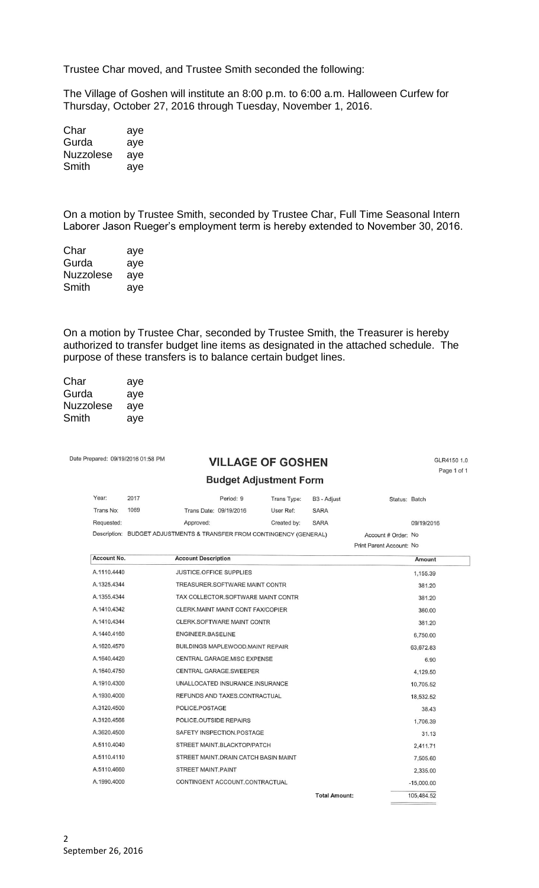Trustee Char moved, and Trustee Smith seconded the following:

The Village of Goshen will institute an 8:00 p.m. to 6:00 a.m. Halloween Curfew for Thursday, October 27, 2016 through Tuesday, November 1, 2016.

| Char             | aye |
|------------------|-----|
| Gurda            | aye |
| <b>Nuzzolese</b> | aye |
| Smith            | aye |

On a motion by Trustee Smith, seconded by Trustee Char, Full Time Seasonal Intern Laborer Jason Rueger's employment term is hereby extended to November 30, 2016.

| Char             | aye |
|------------------|-----|
| Gurda            | aye |
| <b>Nuzzolese</b> | aye |
| Smith            | aye |

On a motion by Trustee Char, seconded by Trustee Smith, the Treasurer is hereby authorized to transfer budget line items as designated in the attached schedule. The purpose of these transfers is to balance certain budget lines.

| Char      | aye |
|-----------|-----|
| Gurda     | aye |
| Nuzzolese | aye |
| Smith     | aye |

Date Prepared: 09/19/2016 01:58 PM

### **VILLAGE OF GOSHEN**

GLR4150 1.0 Page 1 of 1

18,532.52

38,43

31.13

1,706.39

2,411.71

7,505.60

2,335.00

 $-15,000.00$ 105,484.52

**Total Amount:** 

# **Rudget Adjustment Form**

| DUUYU AUJUSUIICIIL FUIII |      |                                                                       |             |             |                          |            |  |
|--------------------------|------|-----------------------------------------------------------------------|-------------|-------------|--------------------------|------------|--|
| Year:                    | 2017 | Period: 9                                                             | Trans Type: | B3 - Adjust | Status: Batch            |            |  |
| Trans No:                | 1069 | Trans Date: 09/19/2016                                                | User Ref:   | <b>SARA</b> |                          |            |  |
| Requested:               |      | Approved:                                                             | Created by: | <b>SARA</b> |                          | 09/19/2016 |  |
|                          |      | Description: BUDGET ADJUSTMENTS & TRANSFER FROM CONTINGENCY (GENERAL) |             |             | Account # Order: No      |            |  |
|                          |      |                                                                       |             |             | Print Parent Account: No |            |  |
| Account No.              |      | <b>Account Description</b>                                            |             |             |                          | Amount     |  |
| A.1110.4440              |      | <b>JUSTICE.OFFICE SUPPLIES</b>                                        |             |             |                          | 1,155.39   |  |
| A.1325.4344              |      | TREASURER.SOFTWARE MAINT CONTR                                        |             |             |                          | 381.20     |  |
| A.1355.4344              |      | TAX COLLECTOR.SOFTWARE MAINT CONTR                                    |             |             |                          | 381.20     |  |
| A.1410.4342              |      | CLERK, MAINT MAINT CONT FAX/COPIER                                    |             |             |                          | 360.00     |  |
| A.1410.4344              |      | CLERK.SOFTWARE MAINT CONTR                                            |             |             |                          | 381.20     |  |
| A.1440.4160              |      | ENGINEER.BASELINE                                                     |             |             |                          | 6,750.00   |  |
| A.1620.4570              |      | BUILDINGS MAPLEWOOD.MAINT REPAIR                                      |             |             |                          | 63,672.83  |  |
| A.1640.4420              |      | CENTRAL GARAGE.MISC EXPENSE                                           |             |             |                          | 6.90       |  |
| A.1640.4750              |      | CENTRAL GARAGE.SWEEPER                                                |             |             |                          | 4,129.50   |  |
| A.1910.4300              |      | UNALLOCATED INSURANCE.INSURANCE                                       |             |             |                          | 10,705.52  |  |

REFUNDS AND TAXES.CONTRACTUAL

POLICE.POSTAGE

POLICE.OUTSIDE REPAIRS

STREET MAINT.PAINT

SAFETY INSPECTION.POSTAGE

STREET MAINT.BLACKTOP/PATCH

STREET MAINT.DRAIN CATCH BASIN MAINT

CONTINGENT ACCOUNT.CONTRACTUAL

A.1930.4000

A.3120.4500

A.3120.4566

A.3620.4500

A.5110.4040

A.5110.4110

A.5110.4660

A.1990.4000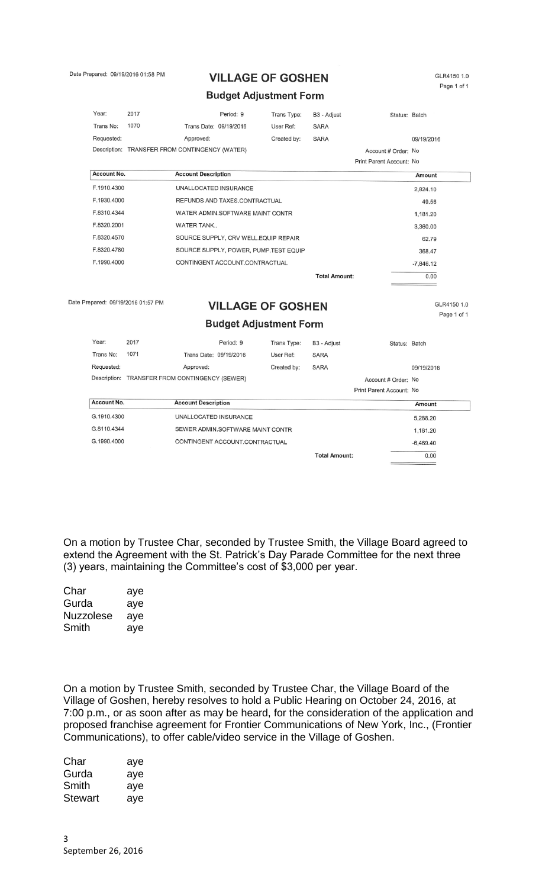Date Prepared: 09/19/2016 01:58 PM

# **VILLAGE OF GOSHEN**

GLR4150 1.0 Page 1 of 1

### **Budget Adjustment Form**

| Year:       | 2017                                           |                            | Period: 9                             | Trans Type: | B3 - Adjust          | Status: Batch            |             |
|-------------|------------------------------------------------|----------------------------|---------------------------------------|-------------|----------------------|--------------------------|-------------|
| Trans No:   | 1070                                           | Trans Date: 09/19/2016     |                                       | User Ref:   | <b>SARA</b>          |                          |             |
| Requested:  |                                                | Approved:                  |                                       | Created by: | <b>SARA</b>          |                          | 09/19/2016  |
|             | Description: TRANSFER FROM CONTINGENCY (WATER) |                            |                                       |             |                      | Account # Order: No      |             |
|             |                                                |                            |                                       |             |                      | Print Parent Account: No |             |
| Account No. |                                                | <b>Account Description</b> |                                       |             |                      |                          | Amount      |
| F.1910.4300 |                                                | UNALLOCATED INSURANCE      |                                       |             |                      |                          | 2,824.10    |
| F.1930.4000 |                                                |                            | REFUNDS AND TAXES.CONTRACTUAL         |             |                      |                          | 49.56       |
| F.8310.4344 |                                                |                            | WATER ADMIN.SOFTWARE MAINT CONTR      |             |                      |                          | 1,181.20    |
| F.8320.2001 |                                                | <b>WATER TANK</b>          |                                       |             |                      |                          | 3,360.00    |
| F.8320.4570 |                                                |                            | SOURCE SUPPLY, CRV WELL.EQUIP REPAIR  |             |                      |                          | 62.79       |
| F.8320.4780 |                                                |                            | SOURCE SUPPLY, POWER, PUMP.TEST EQUIP |             |                      |                          | 368.47      |
| F.1990.4000 |                                                |                            | CONTINGENT ACCOUNT.CONTRACTUAL        |             |                      |                          | $-7,846.12$ |
|             |                                                |                            |                                       |             | <b>Total Amount:</b> |                          | 0.00        |
|             |                                                |                            |                                       |             |                      |                          |             |
|             | pared: 09/19/2016 01:57 PM                     |                            | VII I ACE AE CACUENI                  |             |                      |                          | GLR4150 1.0 |

Date Pre

## **VILLAGE OF GOSHEN**

Page 1 of 1

**Budget Adjustment Form** 

| Year:        | 2017                              | Period: 9                        | Trans Type: | B <sub>3</sub> - Adjust | Status: Batch            |             |
|--------------|-----------------------------------|----------------------------------|-------------|-------------------------|--------------------------|-------------|
| Trans No:    | 1071<br>Trans Date: 09/19/2016    |                                  | User Ref:   | <b>SARA</b>             |                          |             |
| Requested:   | Approved:                         |                                  | Created by: | <b>SARA</b>             |                          | 09/19/2016  |
| Description: | TRANSFER FROM CONTINGENCY (SEWER) |                                  |             |                         | Account # Order: No      |             |
|              |                                   |                                  |             |                         | Print Parent Account: No |             |
|              |                                   |                                  |             |                         |                          |             |
| Account No.  | <b>Account Description</b>        |                                  |             |                         |                          | Amount      |
| G.1910.4300  | UNALLOCATED INSURANCE             |                                  |             |                         |                          | 5,288.20    |
| G.8110.4344  |                                   | SEWER ADMIN.SOFTWARE MAINT CONTR |             |                         |                          | 1,181.20    |
| G.1990.4000  |                                   | CONTINGENT ACCOUNT.CONTRACTUAL   |             |                         |                          | $-6,469.40$ |

On a motion by Trustee Char, seconded by Trustee Smith, the Village Board agreed to extend the Agreement with the St. Patrick's Day Parade Committee for the next three (3) years, maintaining the Committee's cost of \$3,000 per year.

| Char             | aye |
|------------------|-----|
| Gurda            | aye |
| <b>Nuzzolese</b> | aye |
| Smith            | aye |

On a motion by Trustee Smith, seconded by Trustee Char, the Village Board of the Village of Goshen, hereby resolves to hold a Public Hearing on October 24, 2016, at 7:00 p.m., or as soon after as may be heard, for the consideration of the application and proposed franchise agreement for Frontier Communications of New York, Inc., (Frontier Communications), to offer cable/video service in the Village of Goshen.

| Char    | aye |
|---------|-----|
| Gurda   | aye |
| Smith   | aye |
| Stewart | aye |